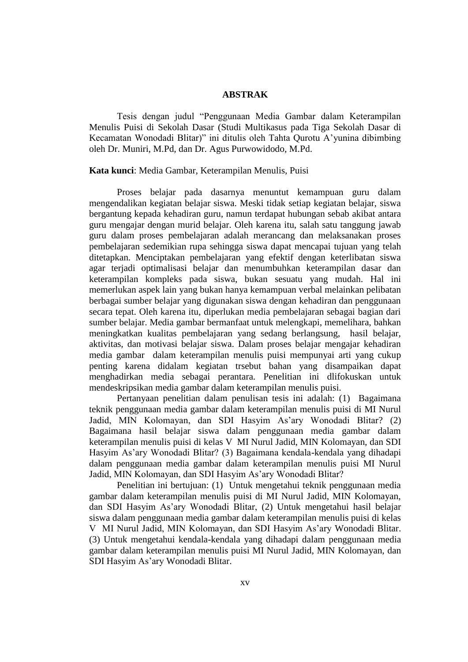### **ABSTRAK**

Tesis dengan judul "Penggunaan Media Gambar dalam Keterampilan Menulis Puisi di Sekolah Dasar (Studi Multikasus pada Tiga Sekolah Dasar di Kecamatan Wonodadi Blitar)" ini ditulis oleh Tahta Qurotu A'yunina dibimbing oleh Dr. Muniri, M.Pd, dan Dr. Agus Purwowidodo, M.Pd.

# **Kata kunci**: Media Gambar, Keterampilan Menulis, Puisi

Proses belajar pada dasarnya menuntut kemampuan guru dalam mengendalikan kegiatan belajar siswa. Meski tidak setiap kegiatan belajar, siswa bergantung kepada kehadiran guru, namun terdapat hubungan sebab akibat antara guru mengajar dengan murid belajar. Oleh karena itu, salah satu tanggung jawab guru dalam proses pembelajaran adalah merancang dan melaksanakan proses pembelajaran sedemikian rupa sehingga siswa dapat mencapai tujuan yang telah ditetapkan. Menciptakan pembelajaran yang efektif dengan keterlibatan siswa agar terjadi optimalisasi belajar dan menumbuhkan keterampilan dasar dan keterampilan kompleks pada siswa, bukan sesuatu yang mudah. Hal ini memerlukan aspek lain yang bukan hanya kemampuan verbal melainkan pelibatan berbagai sumber belajar yang digunakan siswa dengan kehadiran dan penggunaan secara tepat. Oleh karena itu, diperlukan media pembelajaran sebagai bagian dari sumber belajar. Media gambar bermanfaat untuk melengkapi, memelihara, bahkan meningkatkan kualitas pembelajaran yang sedang berlangsung, hasil belajar, aktivitas, dan motivasi belajar siswa. Dalam proses belajar mengajar kehadiran media gambar dalam keterampilan menulis puisi mempunyai arti yang cukup penting karena didalam kegiatan trsebut bahan yang disampaikan dapat menghadirkan media sebagai perantara. Penelitian ini dlifokuskan untuk mendeskripsikan media gambar dalam keterampilan menulis puisi.

Pertanyaan penelitian dalam penulisan tesis ini adalah: (1) Bagaimana teknik penggunaan media gambar dalam keterampilan menulis puisi di MI Nurul Jadid, MIN Kolomayan, dan SDI Hasyim As'ary Wonodadi Blitar? (2) Bagaimana hasil belajar siswa dalam penggunaan media gambar dalam keterampilan menulis puisi di kelas V MI Nurul Jadid, MIN Kolomayan, dan SDI Hasyim As'ary Wonodadi Blitar? (3) Bagaimana kendala-kendala yang dihadapi dalam penggunaan media gambar dalam keterampilan menulis puisi MI Nurul Jadid, MIN Kolomayan, dan SDI Hasyim As'ary Wonodadi Blitar?

Penelitian ini bertujuan: (1) Untuk mengetahui teknik penggunaan media gambar dalam keterampilan menulis puisi di MI Nurul Jadid, MIN Kolomayan, dan SDI Hasyim As'ary Wonodadi Blitar, (2) Untuk mengetahui hasil belajar siswa dalam penggunaan media gambar dalam keterampilan menulis puisi di kelas V MI Nurul Jadid, MIN Kolomayan, dan SDI Hasyim As'ary Wonodadi Blitar. (3) Untuk mengetahui kendala-kendala yang dihadapi dalam penggunaan media gambar dalam keterampilan menulis puisi MI Nurul Jadid, MIN Kolomayan, dan SDI Hasyim As'ary Wonodadi Blitar.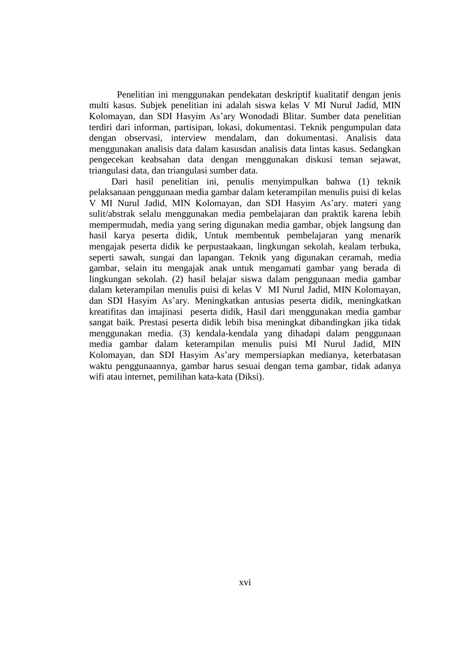Penelitian ini menggunakan pendekatan deskriptif kualitatif dengan jenis multi kasus. Subjek penelitian ini adalah siswa kelas V MI Nurul Jadid, MIN Kolomayan, dan SDI Hasyim As'ary Wonodadi Blitar. Sumber data penelitian terdiri dari informan, partisipan, lokasi, dokumentasi. Teknik pengumpulan data dengan observasi, interview mendalam, dan dokumentasi. Analisis data menggunakan analisis data dalam kasusdan analisis data lintas kasus. Sedangkan pengecekan keabsahan data dengan menggunakan diskusi teman sejawat, triangulasi data, dan triangulasi sumber data.

Dari hasil penelitian ini, penulis menyimpulkan bahwa (1) teknik pelaksanaan penggunaan media gambar dalam keterampilan menulis puisi di kelas V MI Nurul Jadid, MIN Kolomayan, dan SDI Hasyim As'ary. materi yang sulit/abstrak selalu menggunakan media pembelajaran dan praktik karena lebih mempermudah, media yang sering digunakan media gambar, objek langsung dan hasil karya peserta didik, Untuk membentuk pembelajaran yang menarik mengajak peserta didik ke perpustaakaan, lingkungan sekolah, kealam terbuka, seperti sawah, sungai dan lapangan. Teknik yang digunakan ceramah, media gambar, selain itu mengajak anak untuk mengamati gambar yang berada di lingkungan sekolah. (2) hasil belajar siswa dalam penggunaan media gambar dalam keterampilan menulis puisi di kelas V MI Nurul Jadid, MIN Kolomayan, dan SDI Hasyim As'ary. Meningkatkan antusias peserta didik, meningkatkan kreatifitas dan imajinasi peserta didik, Hasil dari menggunakan media gambar sangat baik. Prestasi peserta didik lebih bisa meningkat dibandingkan jika tidak menggunakan media. (3) kendala-kendala yang dihadapi dalam penggunaan media gambar dalam keterampilan menulis puisi MI Nurul Jadid, MIN Kolomayan, dan SDI Hasyim As'ary mempersiapkan medianya, keterbatasan waktu penggunaannya, gambar harus sesuai dengan tema gambar, tidak adanya wifi atau internet, pemilihan kata-kata (Diksi).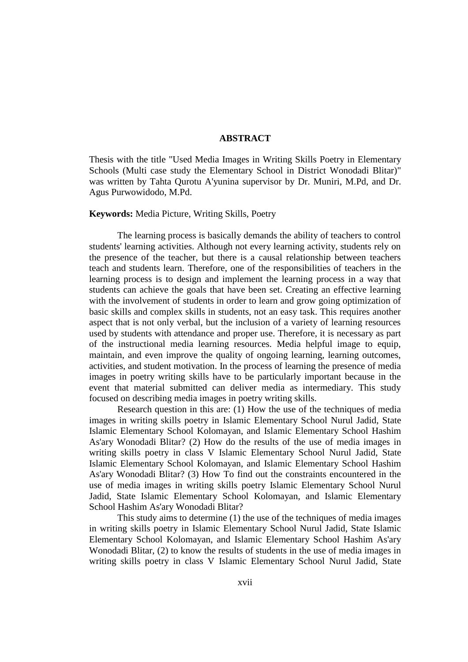### **ABSTRACT**

Thesis with the title "Used Media Images in Writing Skills Poetry in Elementary Schools (Multi case study the Elementary School in District Wonodadi Blitar)" was written by Tahta Qurotu A'yunina supervisor by Dr. Muniri, M.Pd, and Dr. Agus Purwowidodo, M.Pd.

### **Keywords:** Media Picture, Writing Skills, Poetry

The learning process is basically demands the ability of teachers to control students' learning activities. Although not every learning activity, students rely on the presence of the teacher, but there is a causal relationship between teachers teach and students learn. Therefore, one of the responsibilities of teachers in the learning process is to design and implement the learning process in a way that students can achieve the goals that have been set. Creating an effective learning with the involvement of students in order to learn and grow going optimization of basic skills and complex skills in students, not an easy task. This requires another aspect that is not only verbal, but the inclusion of a variety of learning resources used by students with attendance and proper use. Therefore, it is necessary as part of the instructional media learning resources. Media helpful image to equip, maintain, and even improve the quality of ongoing learning, learning outcomes, activities, and student motivation. In the process of learning the presence of media images in poetry writing skills have to be particularly important because in the event that material submitted can deliver media as intermediary. This study focused on describing media images in poetry writing skills.

Research question in this are: (1) How the use of the techniques of media images in writing skills poetry in Islamic Elementary School Nurul Jadid, State Islamic Elementary School Kolomayan, and Islamic Elementary School Hashim As'ary Wonodadi Blitar? (2) How do the results of the use of media images in writing skills poetry in class V Islamic Elementary School Nurul Jadid, State Islamic Elementary School Kolomayan, and Islamic Elementary School Hashim As'ary Wonodadi Blitar? (3) How To find out the constraints encountered in the use of media images in writing skills poetry Islamic Elementary School Nurul Jadid, State Islamic Elementary School Kolomayan, and Islamic Elementary School Hashim As'ary Wonodadi Blitar?

This study aims to determine (1) the use of the techniques of media images in writing skills poetry in Islamic Elementary School Nurul Jadid, State Islamic Elementary School Kolomayan, and Islamic Elementary School Hashim As'ary Wonodadi Blitar, (2) to know the results of students in the use of media images in writing skills poetry in class V Islamic Elementary School Nurul Jadid, State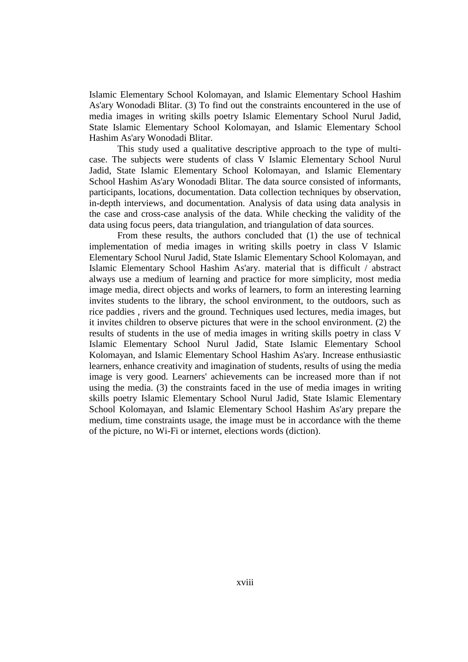Islamic Elementary School Kolomayan, and Islamic Elementary School Hashim As'ary Wonodadi Blitar. (3) To find out the constraints encountered in the use of media images in writing skills poetry Islamic Elementary School Nurul Jadid, State Islamic Elementary School Kolomayan, and Islamic Elementary School Hashim As'ary Wonodadi Blitar.

This study used a qualitative descriptive approach to the type of multicase. The subjects were students of class V Islamic Elementary School Nurul Jadid, State Islamic Elementary School Kolomayan, and Islamic Elementary School Hashim As'ary Wonodadi Blitar. The data source consisted of informants, participants, locations, documentation. Data collection techniques by observation, in-depth interviews, and documentation. Analysis of data using data analysis in the case and cross-case analysis of the data. While checking the validity of the data using focus peers, data triangulation, and triangulation of data sources.

From these results, the authors concluded that (1) the use of technical implementation of media images in writing skills poetry in class V Islamic Elementary School Nurul Jadid, State Islamic Elementary School Kolomayan, and Islamic Elementary School Hashim As'ary. material that is difficult / abstract always use a medium of learning and practice for more simplicity, most media image media, direct objects and works of learners, to form an interesting learning invites students to the library, the school environment, to the outdoors, such as rice paddies , rivers and the ground. Techniques used lectures, media images, but it invites children to observe pictures that were in the school environment. (2) the results of students in the use of media images in writing skills poetry in class V Islamic Elementary School Nurul Jadid, State Islamic Elementary School Kolomayan, and Islamic Elementary School Hashim As'ary. Increase enthusiastic learners, enhance creativity and imagination of students, results of using the media image is very good. Learners' achievements can be increased more than if not using the media. (3) the constraints faced in the use of media images in writing skills poetry Islamic Elementary School Nurul Jadid, State Islamic Elementary School Kolomayan, and Islamic Elementary School Hashim As'ary prepare the medium, time constraints usage, the image must be in accordance with the theme of the picture, no Wi-Fi or internet, elections words (diction).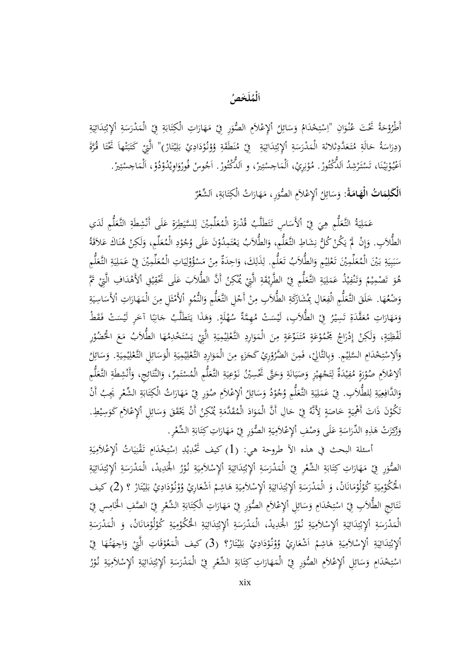# المُل*خَصُ*

أَطْرُوْحَةُ تَحْتَ عُنْوَانِ "اِسْتِحْدَامُ وَسَائِلُ اْلإِعْلاَمِ الصُّوَرِ فِيْ مَهَارَاتِ الْكِتَابَةِ فِيْ الْمَدْرَسَةِ اْلإِبْتِدَائِيَةِ  $\overline{\phantom{a}}$ .<br>. ć  $\overline{\phantom{a}}$  $\ddot{\phantom{0}}$ 2 ت ؛  $\overline{a}$ ئا  $\overline{a}$ ʻ  $\zeta$  $\overline{\phantom{a}}$  $\epsilon$ را<br>ا  $\leq$ Ï <u>تة</u>  $\zeta$ <u>تة</u> í ي ر<br>ئا  $\overline{\phantom{a}}$  $\ddot{z}$ ت ì  $\overline{a}$ ا ä  $\ddot{\phantom{0}}$ ر<br>ِ  $\overline{ }$  $\frac{1}{2}$ (دِرَاسَةُ حَالَةِ مُتَعَدَّدِثْلاثة الْمَدْرَسَةِ اْلإِبْتِدَائِيَةِ ۖ فِيْ مُنَطَقَةِ وُوْنُوْدَادِيْ بَلِيْتَارْ)" الَّتِيْ كَتَبَتْهاَ تَحْتَا قُرَّةَ را  $\overline{a}$ .<br>.  $\ddot{\epsilon}$ Ï ʻ  $\frac{1}{2}$ <u>تة</u> í ي ر<br>نبا  $\overline{a}$ 2 ت į ľ ا <u>تة</u>  $\ddot{\phantom{0}}$  $\overline{\phantom{a}}$  $\overline{\phantom{a}}$  $\zeta$ À ä  $\ddot{ }$ ؛  $\mathcal{L}$  $\ddot{\phantom{0}}$ با<br>أ ب J İ ي Ï ت  $\overline{\phantom{a}}$ ֖֚֓ Ï ت İ ب  $\ddot{a}$  $\overline{\phantom{a}}$  $\ddot{ }$  $\frac{1}{2}$ (دِرَاسَةُ حَالَةِ مُتَعَدَّدِثْلاثَة الْمَدْرَسَةِ ٱلإِبْتِدَائِيَةِ ۚ فِيْ مُنَطَّقَةِ وُوْنُوْدَادِيْ بَلِيْتَارْ)" الَّتِيْ كَتَبَتْهاَ تَحْتَا قُ<br>اعْيُوْنِيْنَا، تَسْتَرْشِدُ اَلدُّكْتُورْ. مُوْنِرِيْ، الْمَاجِسْتِير  $\ddot{ }$ ن í ì. ن  $\cdot$ ś ا ن<br>أ ت  $\ddot{\phantom{0}}$ ֧֦֧֝<u>֚</u><br>֧֚֝ Ï ل  $\frac{1}{2}$  $\ddot{\phantom{0}}$ .<br>نو .<br>نير ر  $\overline{a}$ ŗ ت  $\ddot{\phantom{0}}$  $\overline{ }$  $\frac{1}{2}$  $\frac{1}{2}$  $\overline{\phantom{a}}$ و<br>ته  $\cdot$ ا  $\overline{a}$ ŗ ت  $\ddot{\phantom{0}}$  $\overline{a}$  $\frac{1}{2}$ ì  $\mathbf{r}$ İ ۯ  $\overline{\phantom{a}}$ 

> **الْكَلِمَاتُ الْهَامَةْ:** وَسَائِلُ اْلإِعْلاَمِ الصُّوَرِ، مَهَارَاتُ الْكِتَابَةِ، اَلشِّعْزٌ  ʻ  $\overline{a}$ J  $\overline{a}$ ر  $\overline{\phantom{a}}$  $\epsilon$ را<br>ا  $\leq$  $\ddot{\phantom{0}}$ ä ʻ  $\frac{1}{2}$

ر<br>د عَمَلِيَةُ التَّعَلُّمِ هِيَ فِيْ اْلأَسَاسِ تَتَطَلَّبُ قُدْرَةِ الْمُعَلِّمِيْنَ لِلسَّيَطِرَةِ عَلَى أَنْشِطَةِ التَّعَلُّمِ لَدَيِ<br>- $\overline{\phantom{a}}$ ړ يا<br>: ي ʻ ٩  $\ddot{\cdot}$  $\zeta$ ľ  $\overline{a}$ į , J  $\ddot{\cdot}$ ي را د<br>ا j ڹ  $\ddot{a}$ ʻ الطُّلاَبِ. وَإِنْ لَمْ يَكُنْ كُلُّ نِشَاطِ التَّعَلُّمِ، وَالطُّلاَبُ يَعْتَمِدُوْنَ عَلَى وُجُوْدِ الْمُعَلِّمِ، وَلَكِنْ هُنَاكَ عَلاَقَةُ<br>. ٳ  $\langle$ İ ĺ .<br>ب ʻ ر , Ï ت  $\mathbf{r}$ ر<br>د  $\overline{a}$ , ڔ ر<br>د قم  $\overline{a}$ سَبَبِيَةِ بَيْنَ الْمُعَلِّمِيْنَ تَعْلِيْمِ وَالطُّلاَبُ تَعَلُّمِ. لِذَلِكَ، وَاحِدَةٌ مِنْ مَسْؤُوْلِيَاتِ الْمُعَلِّمِيْنَ فِيْ عَمَلِيَةِ التَّعَلُّمِ ب  $\frac{1}{2}$ ب í ي  $\ddot{\epsilon}$ j ʻ ʻ  $\ddot{\phantom{0}}$ ر .<br>. ʻ J J  $\overline{\phantom{a}}$ j ŕ.  $\ddot{\phantom{0}}$ ʻ ل ل<br>إ í , ś  $\overline{ }$ j  $\ddot{\cdot}$ ي ä , هُوَ تَصْمِيْمُ وَتَنْفِيْذُ عَمَلِيَةِ التَّعَلُّمِ فِيْ الطَّرِيْقَةِ الَّتِيْ يُمْكِنُ أَنَّ الطُّلاَبَ عَلَى تَحْقِيْقِ اْلأَهْدَافِ الَّتِيْ تَمَّ ر í ي ì  $\ddot{\phantom{0}}$ ن j  $\ddot{\phantom{0}}$ ś  $\overline{a}$ j í ي <u>تة</u> ʻ  $\zeta$ Í À  $\ddot{a}$  $\ddot{\phantom{0}}$ <u>.</u> .<br>م  $\ddot{\phantom{0}}$ ľ A ا  $\ddot{\phantom{0}}$ ì وَضْعُهَا. خَلَقَ التَّعَلُّمِ الْفِعَالِ بِمُشَارَكَةِ الطُّلاَبِ مِنْ أَجْلِ التَّعَلُّمِ وَالنُّمُوِ اْلِأَشْلِ مِنَ الْمَهَارَاتِ اْلأَسَاسِيَةِ  $\Leftrightarrow$  $\overline{\phantom{a}}$  $\overline{\phantom{0}}$  $\cdot$ ,  $\mathbf{S}$ ر<br>ا  $\ddot{\epsilon}$ À Í ر  $\overline{\phantom{a}}$ ئي À  $\ddot{\phantom{0}}$  $\overline{ }$  $\triangleleft$ را<br>ا ا  $\overline{\phantom{a}}$  $\ddot{\phantom{0}}$  $\ddot{\cdot}$ ي <u>تة</u> ʻ وَمَهَارَاتِ مُعَقَّدَةِ تَسِيْرُ فِيْ الطُّلاَبِ، لَيْسَتْ مُهِمَّةٌ سُهْلَةٍ. وَهَذَا يَتَطَلَّبُ جَانِبًا آخَرِ لَيْسَتْ فَقَطْ<br>.  $\overline{\phantom{a}}$  $\triangleleft$ را<br>ا ا ʻ  $\ddot{c}$ ن<br>أ ت  $\zeta$ ي  $\overline{a}$ ;<br>2 ر Å į Ï ة<br>لم ي í  $\ddot{\cdot}$ ب .<br>ئ ֚֚֡<br>֧֚֝<br>֧֚֝ <u>،</u> ل í فْظِيَةٍ، وَلَكِنْ إِدْرَاجُ بَحْمُوْعَةٍ مُتَنَوِّعَةٍ مِنَ الْمَوَارِدِ التَّعْلِيْمِيَةِ الَّتِيْ يَسْتَخْدِمُهَا الطُّلاَبُ مَعَ الْحُضُوْرِ  $\ddot{\cdot}$ ي  $\ddot{\phantom{0}}$ ʻ إ را ʻ ر<br>گ  $\ddot{a}$ Ï  $\ddot{ }$ ر<br>د  $\ddot{c}$ À  $\ddot{\cdot}$  $\overline{a}$ ر  $\overline{a}$ , J  $\ddot{\phantom{0}}$ ي í ي ä  $\ddot{\phantom{0}}$ پ<br>: ي  $\ddot{\phantom{0}}$  $\overline{a}$  $\triangleleft$  $\zeta$ Ĵ ľ وَاْلِاسْتِخْدَامِ السَّلِيْمِ. وَبِالتَّالِيْ، فَمِنَ الضَّرُوْرِيْ كَجَزَءٍ مِنَ الْمَوَارِدِ التَّعْلِيْمِيَةِ الْوَسَائِلِ التَّعْلِيْمِيَةِ. وَسَائِلُ<br>مُ  $\overline{a}$ <u>:</u> ت J  $\ddot{\phantom{0}}$ ر  $\zeta$ .<br>أ  $\ddot{\phantom{0}}$ ʻ  $\ddot{\phantom{0}}$  $\overline{\mathbf{z}}$ À  $\ddot{\phantom{0}}$  $\overline{ }$ ر  $\frac{1}{2}$ ,  $\ddot{\phantom{0}}$ ي  $\ddot{\phantom{0}}$ ي <u>تة</u> ر  $\ddot{\phantom{0}}$ ر<br>ئا ,  $\ddot{\phantom{0}}$ ي  $\ddot{\cdot}$ ي ä ۯ  $\ddot{\phantom{0}}$ ر<br>ئا l الإعْلاَمِ صُوْرَةٍ مُفِيْدَةٌ لِتَجْهِيْزِ وَصَيَانَةِ وَحَتَّى تَحْسِيْنُ نَوْعِيَةِ التَّعَلُّمِ الْمُسْتَمِرِّ، وَالنَّتَائِجِ، وَأَنْشِطَةِ التَّعَلُّمِ י<br>י .<br>م  $\ddot{\phantom{0}}$ ي <u>:</u> ل ŕ ت <sup>2</sup> ʻ  $\ddot{\phantom{0}}$ ي ن<br>ا  $\ddot{a}$ ؛  $\overline{\phantom{a}}$ ؛ í ي <u>تة</u> , j  $\overline{\phantom{a}}$ Ï  $\ddot{ }$ ت ۯ ن <u>:</u> <u>تة</u> , Ĵ وَالدَّافِعِيَةِ لِلطُّلاَبِ. فِيْ عَمَلِيَةِ التَّعَلُّمِ وُجُوْدُ وَسَائِلُ اْلإِعْلاَمِ صُوَرِ فِيْ مَهَارَاتُ الْكِتَابَةِ الشِّعْرِ يَجِبُ أَنْ<br>م .<br>ف .<br>ب í ي  $\ddot{a}$ J ل ś  $\overline{\phantom{a}}$ ړ ì ي  $\ddot{a}$ , ر  $\overline{a}$ ئا ľ  $\zeta$  $\overline{\phantom{a}}$  $\epsilon$ را<br>ا  $\leq$ ï , تَكُوْنَ ذَاتَ أَهْمِيَةٍ خَاصَةٍ لِأَنَّهُ فِيْ حَالِ أَنَّ الْمَوَادَ الْمُقَدَّمَةِ يُمْكِنُ أَنْ يَحْقَقَ وَسَائِلِ الإِعْلاَمِ كَوَسِيْطِ.  $\cdot$  $\ddot{\cdot}$ ي ï <sup>2</sup> ä y  $\zeta$ <sup>2</sup> ر  $\overline{\phantom{a}}$ ;<br>2  $\overline{\phantom{0}}$ ر  $\ddot{\phantom{0}}$  $\overline{\phantom{a}}$ ر ʻ و ر ك ز ت ه ذ ه الدِّ ر اس ة عل ف ص <sup>ى</sup> <sup>و</sup> ل ا عل ة ص م ال و ر ف م ه ت ار ا ك اب ش ة ال ِّ ع ر.  $\overline{a}$  $\overline{c}$ زا  $\ddot{\phantom{0}}$ ä ś ر ľ  $\ddot{c}$ í ي ر  $\zeta$  $\overline{\phantom{a}}$  $\triangleleft$ Ï ت با<br>ا ʻ

أسئلة البحث في هذه الآ طروحة هي: (1) كيف تَحْدِيْدِ اِسْتِخْدَامِ تَقْنِيَاتُ ٱلإِعْلاَمِيَةِ  $\overline{a}$ ب<br>: ي  $\overline{a}$  $\overline{\phantom{a}}$ ا  $\ddot{\phantom{0}}$ 3 ت ت<br>ا Ä ļ ن  $\ddot{\phantom{0}}$ À  $\ddot{\cdot}$ ي ä الصُّوَرِ فِيْ مَهَارَاتِ كِتَابَةِ الشَّعْرِ فِيْ الْمَدْرَسَةِ اْلإِبْتِدَائِيَةِ اْلإِسْلاَمِيَةِ نُوْرُ الجُدِيدْ، الْمَدْرَسَةِ اْلإِبْتِدَائِيَةِ<br>. ر  $\zeta$  $\overline{\phantom{a}}$  $\Leftrightarrow$ را ت با<br>أ ,  $\zeta$ ä í ي ر<br>ئې  $\overline{a}$ 2 ت ì  $\overline{a}$ ا  $\ddot{a}$  $\ddot{\phantom{0}}$ ر<br>ا  $\overline{a}$ ä  $\ddot{\phantom{0}}$ ي À  $\overline{a}$ ا ر Í  $\overline{a}$ <u>تة</u> í ي ر<br>ئي  $\overline{\phantom{a}}$ 3 ت <u>با</u>  $\overline{\phantom{a}}$ اً ä  $\ddot{\phantom{0}}$ ر<br>ِ  $\overline{ }$ ï الْحُكُوْمِيَةِ كُوْلُوْمَانَانْ، وَ الْمَدْرَسَةِ اْلإِبْتِدَائِيَةِ اْلإِسْلاَمِيَةِ هَاشِمْ اَشْعَارِيْ وُوْنُوْدَادِيْ بَلِيْتَارْ ؟ (2) كيف<br>ا í ي j ؛  $\overline{\phantom{a}}$ ؛ ؛ .<br>نا ڔ ä í ي ر<br>ئب  $\overline{a}$ , ت j  $\overline{a}$ ا 2  $\overline{a}$ ر<br>ا  $\overline{a}$ ä í ي a<br>A ĺ ا A ſ  $\ddot{\cdot}$  $\ddot{ }$  $\mathbf{r}$  $\mathbf{r}$  $\ddot{\cdot}$ , ا با<br>. ب J İ ي Ï ت ز ĺ نَتَائِجِ الطُّلاَبِ فِيْ اسْتِخْدَامِ وَسَائِلِ اْلإِعْلاَمِ الصُّوَرِ فِيْ مَهَارَاتِ الْكِتَابَةِ الشِّعْرِ فِيْ الصَّفِ الْخَامِسِ فِيْ i  $\ddot{\phantom{0}}$  $\ddot{ }$ ت ر  $\ddot{\phantom{0}}$ ر  $\zeta$  $\overline{\phantom{a}}$  $\triangleleft$ را<br>ا  $\leq$  $\ddot{\phantom{0}}$ ʻ  $\zeta$  $\zeta$  $\ddot{c}$ الْمَدْرَسَةِ اْلإِبْتِدَائِيَةِ اْلإِسْلاَمِيَةِ نُوْرُ الْجَدِيدْ، الْمَدْرَسَةِ اْلإِبْتِدَائِيَةِ الْحُكُوْمِيَةِ كُوْلُوْمَانَانْ، وَ الْمَدْرَسَةِ  $\ddot{\cdot}$ ي ر<br>نبا  $\overline{\phantom{0}}$ : ت ì ľ ا  $\ddot{c}$  $\overline{a}$  $\ddot{\phantom{0}}$  $\overline{\phantom{a}}$  $\ddot{c}$ ĭ ي  $\overline{\phantom{a}}$ ľ ا ؛ Í  $\overline{a}$ ä í ي ر<br>با  $\overline{a}$ 3 ت į  $\overline{ }$ ا  $\ddot{a}$  $\ddot{\phantom{0}}$  $\overline{\phantom{a}}$  $\overline{\phantom{a}}$  $\ddot{a}$  $\ddot{\cdot}$ ي À ؛ .<br>.  $\overline{\phantom{a}}$  $\mathbf{r}$ ر ۯ <u>تة</u>  $\ddot{\phantom{0}}$ ر<br>ا  $\overline{ }$  $\ddot{\epsilon}$ لإِبْتِدَائِيَةِ ٱلإِسْلاَمِيَةِ هَاشِمْ اَشْعَارِيْ وُوْنُوْدَادِيْ بَلِيْتَارْ؟ (3) كيف الْمَعُوْقَاتِ الَّتِيْ وَاجِهَتُهَا فِيْ یا<br>: ي ر<br>نبه  $\overline{\phantom{a}}$ <u>ب</u> ت  $\ddot{ }$ ľ ا  $\ddot{a}$ í ي À ĺ ا ۹  $\mathcal{L}_{\mathcal{L}}$  $\zeta$  $\ddot{ }$ ؛ ʻ  $\ddot{\phantom{0}}$ ʻ ا با<br>أ ب J İ ي  $\ddot{ }$ ت  $\overline{\phantom{a}}$  $\overline{ }$ ۯ ق  $\ddot{\phantom{0}}$ ۯ  $\epsilon$  $\epsilon$  $\zeta$  $\overline{a}$ اسْتِخْدَامِ وَسَائِلِ اْلِإِعْلاَمِ الصُّوَرِ فِيْ الْمَهَارَاتِ كِتَابَةِ الشِّعْرِ فِيْ الْمَدْرَسَةِ اْلِإِبْتِدَائِيَةِ اْلِإِسْلاَمِيَةِ نُوْرُ 2 ت ì  $\overline{a}$ ر  $\zeta$  $\overline{a}$  $\triangleleft$ ľ ت با<br>أ ,  $\zeta$ <u>تة</u>  $\ddot{\phantom{0}}$ ي ر<br>ن  $\overline{a}$ 2 ت į  $\overline{a}$ ا <u>تة</u>  $\ddot{\phantom{0}}$ ز  $\overline{ }$ <u>تة</u>  $\ddot{\phantom{0}}$ ي À  $\overline{a}$ ا ۯ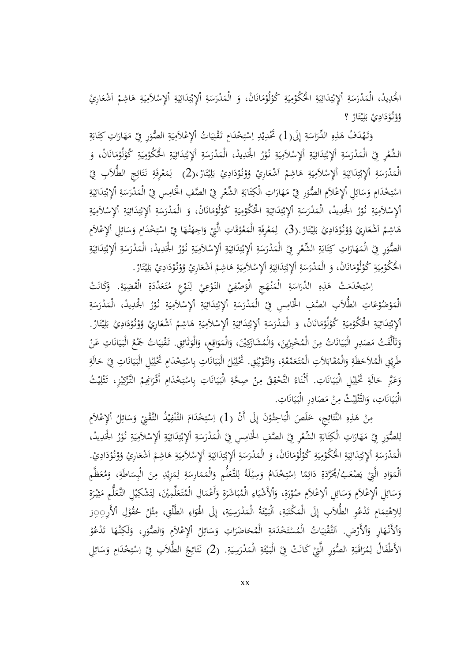.<br>أ الجُدِيدْ، الْمَدْرَسَةِ أَلإِبْتِدَائِيَةِ الحُكُوْمِيَةِ كُوْلُوْمَانَانْ، وَ الْمَدْرَسَةِ ألإِبْتِدَائِيَةِ ألإِسْلاَمِيَةِ هَاشِمْ اَشْعَارِيْ  $\ddot{\phantom{0}}$  $\ddot{a}$ í ي ر<br>ئي  $\overline{a}$  $\ddot{ }$ ت ì ľ ا  $\ddot{\epsilon}$  $\overline{a}$ ر<br>ا  $\overline{a}$  $\ddot{a}$ i ي À  $\overline{\phantom{a}}$ j  $\overline{\phantom{a}}$ ر ر ر ä Ŕ ي ر<br>ئ  $\overline{a}$ 2 ت į  $\overline{a}$ ا ä  $\ddot{\phantom{0}}$ ر<br>ا  $\overline{ }$ ä  $\ddot{\phantom{0}}$ ي À  $\overline{\phantom{a}}$ ا a  $\mathsf{r}$ ĺ Ĵ ا  $\zeta$ ۇۋنۇدَادِيْ بَلِيْتَارْ <mark>؟</mark> Ì  $\mathbf{r}$  $\overline{\phantom{a}}$ با<br>أ ب J İ ي Ï ت  $\overline{\phantom{a}}$ 

ر وَتَهْدَفُ هَذِهِ الدِّرَاسَةِ إِلَى(1) تَحْدِيْدِ اِسْتِخْدَامِ تَقْنِيَاتُ اْلإِعْلاَمِيَةِ الصُّوَرِ فِيْ مَهَارَاتِ كِتَابَةِ  $\epsilon$ ۹  $\ddot{\phantom{0}}$  $\ddot{\phantom{0}}$ Ľ  $\ddot{\phantom{0}}$  $\ddot{c}$  $\overline{a}$ İ ي  $\ddot{\phantom{0}}$  $\overline{1}$ ا  $\ddot{\phantom{0}}$ 2 ت ن<br>ا ï :<br>نفر  $\ddot{\cdot}$ À  $\ddot{\cdot}$ ي ر  $\zeta$  $\overline{\phantom{a}}$  $\triangleleft$ را<br>ا ت با <u>تة</u> الشِّعْرِ فِيْ الْمَدْرَسَةِ اْلإِبْتِدَائِيَةِ اْلإِسْلاَمِيَةِ نُوْرُ الْجَدِيدْ، الْمَدْرَسَةِ اْلإِبْتِدَائِيَةِ الْحُكْوْمِيَةِ كُوْلُوْمَانَانْ، وَ<br>الشِّعْرِ فِيْ الْمَدْرَسَةِ اْلإِبْتِدَائِيَةِ اْلإِسْلاَمِيَةِ نُو ,  $\zeta$ ä í ي ر<br>ئې  $\overline{\phantom{a}}$ : ت  $\ddot{ }$ ľ ا <u>تة</u>  $\ddot{\phantom{0}}$  $\ddot{\phantom{0}}$  $\overline{\phantom{a}}$  $\ddot{a}$  $\ddot{\phantom{0}}$ ي À ĺ ا  $\ddot{\phantom{0}}$ .<br>أ  $\overline{a}$  $\ddot{a}$  $\ddot{\phantom{0}}$ ي ر<br>ئې  $\overline{\phantom{a}}$  $\ddot{z}$ ت ì ľ ا ä  $\ddot{\phantom{0}}$ ر<br>ا  $\overline{a}$ <u>تة</u> í ي ِ<br>م ۯ .<br>. .<br>. ۯ  $\ddot{\phantom{0}}$ ۯ  $\ddot{\epsilon}$ الْمَدْرَسَةِ اْلإِبْتِدَائِيَةِ اْلإِسْلاَمِيَةِ هَاشِمْ اَشْعَارِيْ وُوْنُوْدَادِيْ بَلِيْتَارْ،(2) لِمَعْرِفَةِ نَتَائِجِ الطُّلاَبِ فِيْ يا<br>ا ي ر<br>نبه  $\overline{\phantom{a}}$ 2 ت į ĺ ا  $\ddot{a}$  $\overline{a}$  $\ddot{\phantom{0}}$  $\overline{a}$  $\ddot{a}$ ì ي À ľ ا Å ſ  $\ddot{\phantom{0}}$  $\ddot{ }$ ر  $\mathbf{r}$ ĺ ʻ ا با<br>أ ب J İ ي Ï ت  $\overline{\phantom{a}}$ J ل  $\overline{ }$ <u>تة</u>  $\ddot{\phantom{0}}$ ت  $\overline{a}$ اسْتِخْدَامِ وَسَائِلِ اْلإِعْلاَمِ الصُّوَرِ فِيْ مَهَارَاتِ الْكِتَابَةِ الشُّعْرِ فِيْ الصَّفِ الْخَامِسِ فِيْ الْمَدْرَسَةِ اْلإِبْتِدَائِيَةِ 2 ت ر  $\overline{a}$ ر  $\zeta$  $\overline{\phantom{a}}$  $\epsilon$ زا  $\leq$ Ï ʻ  $\zeta$  $\zeta$ ä i ي ر<br>ئ  $\overline{\phantom{a}}$  $\ddot{z}$ ت  $\ddot{ }$  $\overline{\phantom{a}}$ ا <u>تة</u>  $\ddot{\phantom{0}}$ ر<br>ا  $\overline{ }$  $\ddot{c}$ لإِسْلاَمِيَةِ نُوْرُ الْجَدِيدْ، الْمَدْرَسَةِ اْلإِبْتِدَائِيَةِ الْحُكُوْمِيَةِ كُوْلُوْمَانَانْ، وَ الْمَدْرَسَةِ اْلإِبْتِدَائِيَةِ اْلإِسْلاَمِيَةِ i ي À ľ ا  $\mathbf{r}$ Í  $\overline{a}$  $\ddot{c}$ í ي ر<br>با  $\overline{\phantom{a}}$ 3 ت į ľ ا  $\ddot{c}$  $\ddot{\phantom{0}}$ ر<br>ا  $\overline{\phantom{a}}$ ä  $\ddot{\phantom{0}}$ ي À ʻ j  $\overline{\phantom{a}}$ ؛ ر ر .<br>4  $\ddot{\phantom{0}}$ ي ر<br>با  $\overline{\phantom{a}}$  $\ddot{z}$ ت  $\ddot{ }$  $\overline{a}$ ا <u>تة</u>  $\ddot{\phantom{0}}$ ر<br>ا  $\overline{ }$ <u>تة</u>  $\ddot{\cdot}$ ي À  $\overline{\phantom{a}}$ ا ۹ هَاشِمْ اَشْعَارِيْ وُوْنُوْدَادِيْ بَلِيْتَارْ.(3) لِمَعْرِفَةِ الْمَعُوْقَاتِ الَّتِيْ وَاحِهَتُهَا فِيْ اسْتِحْدَامِ وَسَائِلِ اْلإِعْلاَمِ  $\mathfrak{g}$  $\ddot{\phantom{0}}$  $\ddot{ }$ ؛ ʻ  $\ddot{\phantom{0}}$ ʻ ا با<br>أ ب J İ ي Ï ت  $\overline{\phantom{a}}$ J ل  $\overline{a}$ ä  $\overline{a}$ ۯ ن<br>ف  $\ddot{\phantom{0}}$ ر  $\epsilon$  $\epsilon$  $\zeta$  $\ddot{\phantom{0}}$ 3 ت ۯ  $\ddot{\phantom{0}}$ الصُّوَرِ فِيْ الْمَهَارَاتِ كِتَابَةِ الشَّعْرِ فِيْ الْمَدْرَسَةِ ٱلإِبْتِدَائِيَةِ ٱلإِسْلاَمِيَةِ نُوْرُ الْحَدِيدْ، الْمَدْرَسَةِ ٱلإِبْتِدَائِيَةِ ر  $\zeta$  $\ddot{\phantom{0}}$  $\triangleleft$ زا ا ت با<br>أ ,  $\zeta$ ä í ي ر<br>ئې  $\overline{a}$ 2 ت ì  $\overline{a}$ ا  $\ddot{a}$  $\overline{a}$  $\overline{\phantom{a}}$  $\overline{\phantom{a}}$ ä  $\ddot{\phantom{0}}$ ي À  $\overline{ }$ ا ۯ .<br>أ  $\overline{a}$ <u>تة</u> í ي ر<br>ئي  $\overline{\phantom{a}}$ 3 ت <u>با</u>  $\overline{\phantom{a}}$ اً ä  $\ddot{\phantom{0}}$ ر<br>ا  $\overline{ }$  $\ddot{a}$ الْحُكُوْمِيَةِ كُوْلُوْمَانَانْ، وَ الْمَدْرَسَةِ اْلإِبْتِدَائِيَةِ اْلإِسْلاَمِيَةِ هَاشِمْ اَشْعَارِيْ وُوْنُوْدَادِيْ بَلِيْتَارْ. í ي À ؛ j ŕ  $\overline{\phantom{a}}$ ؛ ʻ ä í ي ر<br>ئې  $\overline{a}$ 2 ت į ľ ا  $\ddot{a}$  $\ddot{\phantom{0}}$  $\overline{\phantom{a}}$  $\overline{\phantom{a}}$ <u>تة</u> í ي À ľ ا ۹  $\mathsf{r}$  $\ddot{\phantom{0}}$  $\ddot{ }$ ۯ ʻ  $\ddot{\cdot}$ ʻ ا با<br>. ب J İ ي  $\ddot{\phantom{0}}$ ت  $\overline{\phantom{a}}$ 

 $\overline{\phantom{a}}$ ا  $\overline{a}$ سْتِخْدَمَتُ هَذِهِ الدِّرَاسَةِ الْمَنْهَجِ الْوَصْفِيْ النَّوْعِيْ لِنَوْعِ مُتَعَدِّدَةِ الْقَضِيَةِ. وَكَانَتْ<br>\* 2 ت ر<br>،  $\overline{a}$  $\ddot{\phantom{0}}$ را<br>ا  $\ddot{\phantom{0}}$  $\ddot{a}$  $\overline{a}$  $\triangleleft$ ر .<br>بم  $\ddot{\phantom{0}}$ ֘֒  $\ddot{\cdot}$ ڶ ل  $\ddot{ }$ ر ï ʻ  $\ddot{ }$  $\ddot{\circ}$ Ä  $\ddot{\cdot}$ ي <u>تة</u> ڔ الْمَوْضُوْعَاتِ الطُّلاَبِ الصَّفِ الخَّامِسِ فِيْ الْمَدْرَسَةِ اْلإِبْتِدَائِيَةِ اْلإِسْلاَمِيَةِ نُوْرُ الْحَدِيدْ، الْمَدْرَسَةِ  $\overline{\phantom{a}}$ ؛ ʻ  $\zeta$ ä í ي ر<br>با  $\overline{\phantom{a}}$ j ت  $\ddot{ }$  $\overline{a}$ ا  $\ddot{a}$  $\overline{a}$  $\overline{\phantom{a}}$  $\overline{\phantom{a}}$ .<br>4 i ي À  $\overline{\phantom{a}}$ ا ʻ Í  $\overline{a}$ <u>تة</u>  $\ddot{\phantom{0}}$ ر<br>ا  $\overline{\phantom{a}}$  $\overline{\phantom{a}}$ لإِبْتِدَائِيَةِ الْحُكْوْمِيَةِ كُوْلُوْمَانَانْ، وَ الْمَدْرَسَةِ اْلإِبْتِدَائِيَةِ اْلإِسْلاَمِيَةِ هَاشِمْ اَشْعَارِيْ وُوْنُوْدَادِيْ بَلِيْتَارْ. : ت  $\ddot{ }$ l ا  $\ddot{\epsilon}$ یا<br>: ي ر<br>نبه  $\ddot{a}$ í ي  $\overline{\phantom{a}}$ ؛ j  $\overline{\phantom{a}}$ ۯ ؛ ر  $\ddot{a}$  $\ddot{\phantom{0}}$ ي ر<br>ئي  $\overline{\phantom{a}}$  $\ddot{ }$ ت ì  $\overline{a}$ ا <u>تة</u>  $\ddot{\phantom{0}}$ ز  $\overline{a}$ <u>تة</u> í ي À ĺ ا ۹  $\mathsf{r}$  $\ddot{\cdot}$  $\ddot{ }$ ر ʻ  $\ddot{\cdot}$ Ĵ ا ب<br>أ ب J  $\ddot{ }$ ي Ï ت ì ì وَتَأَلَّفَتُ مَصَدِرِ الْبَيَانَاتُ مِنَ الْمُخْبِرْينَ، وَالْمُشَارَكِيْنَ، وَالْمَوَاقِعِ، وَالْوَثَائِقِ. تَقْنِيَاتُ جَمْعُ الْبَيَانَاتِ عَنْ اٌ .<br>عم  $\overline{a}$  $\ddot{\phantom{0}}$ ي j À  $\ddot{\phantom{0}}$ ي  $\ddot{\phantom{0}}$ ر ر<br>ا ر  $\overline{a}$ ر j ر ر ر<br>ئىل ت<br>ا  $\ddot{.}$ :<br>نور  $\ddot{\phantom{0}}$  $\ddot{\cdot}$  $\ddot{\cdot}$ ي .<br>. ś  $\ddot{ }$ طَرِيْقِ الْمُلاَحَظَةِ وَالْمُقَابَلاَتِ الْمُتَعَمِّقَةِ، وَالتَّوْثِيْقِ. تَحْلِيْلُ الْبَيَانَاتِ فِي الْجَيَانَاتِ فِي حَالَةِ<br>مَالِيْقِ الْمُلاَحَظَةِ وَالْمُقَابَلاَتِ الْمُتَعَمِّقَةِ، وَالتَّوْثِيْقِ. تَحْلِيْلُ ا <sup>.</sup>  $\ddot{\epsilon}$ ؛ با ʻ  $\ddot{a}$ ر ر į ثة ما∵  $\ddot{\phantom{0}}$ J  $\ddot{\phantom{0}}$ ي  $\ddot{\cdot}$ í ي .<br>ا .<br>ب ب  $\ddot{\phantom{0}}$ 2 ت j  $\ddot{\phantom{0}}$  $\ddot{\cdot}$  $\ddot{\cdot}$ ي .<br>.  $\zeta$ Î ä ʻ وَعَبَّرِ حَالَةِ تَحْلِيْلِ الْبَيَانَاتِ. أَتْْنَاءُ التَّحْقِقُ مِنْ صِحَّةِ الْبَيَانَاتِ بِاسْتِخْدَامِ أَقْرَاغِهْمْ التَّرْكِيْزِ، تَثْلِيْتُ ر<br>د  $\overline{\phantom{a}}$ 2 J  $\ddot{\cdot}$  $\ddot{\cdot}$ i ي į  $\ddot{ }$ ن <sup>2</sup> .<br>م , j ä  $\ddot{\cdot}$ í ي .<br>. با ب  $\ddot{\phantom{0}}$ 2 ت  $\ddot{\phantom{0}}$ ة<br>أ را<br>ا ſ ì ن<br>ا ث J  $\ddot{\phantom{0}}$ الْبَيَانَاتِ، وَالتَّتْلِيْثُ مِنْ مَصَادِرِ الْبَيَانَاتِ.  $\ddot{\cdot}$ ì ʻ ث J í , ĺ  $\overline{\phantom{a}}$ ì  $\frac{1}{2}$ í ي .<br>نا

 $\overline{\phantom{0}}$ مِنْ هَذِهِ النَّتَائِجِ، خَلَصَ الْبَاحِثُوْنَ إِلَى أَنْ (1) اِسْتِخْدَامَ التَّنْفِيْذُ التَّقْنِيْ وَسَائِلُ ألإِعْلاَمِ  $\ddot{\phantom{0}}$  $\overline{a}$  $\overline{c}$ i ت <sup>2</sup>  $\ddot{\cdot}$ ب ʻ إ  $\overline{\phantom{a}}$  $\ddot{\phantom{0}}$  $\ddot{z}$ ت مُ  $\ddot{ }$ ن ز í Ä  $\ddot{\phantom{0}}$ ڔ  $\ddot{\phantom{0}}$ ئا  $\overline{\phantom{a}}$ لِلصُّوَرِ فِيْ مَهَارَاتِ الْكِتَابَةِ الشَّعْرِ فِيْ الصَّفِ الْخَامِسِ فِيْ الْمَدْرَسَةِ أَلإِبْتِدَائِيَةِ ألإِسْلاَمِيَةِ نُوْرُ الْحَدِيدْ،<br>. ì  $\zeta$ ŕ  $\epsilon$ زا  $\leq$ Ï ,  $\zeta$  $\zeta$ ä  $\ddot{\phantom{0}}$ ي ر<br>ن  $\overline{\phantom{a}}$ 2 ت ì  $\overline{a}$ ا ä  $\ddot{\phantom{0}}$ ر<br>ا  $\overline{ }$ <u>تة</u> í ي ِ<br>م  $\overline{a}$ ا ۯ .<br>أ  $\overline{a}$  $\ddot{a}$ الْمَدْرَسَةِ اْلإِنْتِدَائِيَةِ الْحُكْوْمِيَةِ كُوْلُوْمَانَانْ، وَ الْمَدْرَسَةِ اْلإِنْتِدَائِيَةِ اْلإِسْلاَمِيَةِ هَاشِمْ اَشْعَارِيْ وُوْنُوْدَادِيْ.<br>الْمَدْرَسَةِ الإِنْتِدَائِيَةِ الْحُكْوْمِيَةِ كُوْلُوْمَانَانْ، i ي ر<br>ئي  $\overline{\phantom{a}}$ <u>:</u> ت į ĺ ا  $\ddot{a}$  $\overline{a}$  $\ddot{\phantom{0}}$  $\overline{\phantom{a}}$  $\ddot{a}$ í ي À ؛ j ŕ  $\overline{\phantom{a}}$ ؛ ر 2 ت ì  $\overline{\phantom{a}}$ ا  $\ddot{a}$  $\ddot{\phantom{0}}$ ر<br>ا  $\overline{a}$  $\ddot{a}$ ì ي ر<br>ئا  $\overline{\phantom{a}}$ ä  $\ddot{\cdot}$ ي  $\overline{\phantom{a}}$  $\overline{ }$ ا A î  $\ddot{\cdot}$  $\ddot{ }$ ر ʻ İ , ا  $\frac{1}{2}$ اَلْمَوَادِ الَّتِيْ يَصْعَبُ/جُمَّرَدَةِ دَائِمًا اِسْتِحْدَامُ وَسِيْلَةُ لِلتَّعَلُّمِ وَالْمَمَارِسَةِ لِمَزِيْدِ مِنَ الْبِسَاطَةِ، وَمُعَظَّمِ  $\overline{\phantom{a}}$ ر  $\frac{1}{2}$  $\ddot{\phantom{0}}$ ì ي , J  $\ddot{ }$  $\ddot{c}$  $\ddot{ }$  $\frac{1}{2}$  $\ddot{\phantom{0}}$  $\ddot{ }$ ت ر ل ʻ ؛  $\overline{\phantom{a}}$  $\overline{\phantom{a}}$  $\overline{a}$  $\ddot{a}$ ڔ ل  $\overline{\phantom{a}}$ į ي  $\overline{a}$ À  $\ddot{\phantom{0}}$  $\ddot{\cdot}$  $\ddot{\phantom{0}}$ <u>تة</u> ۯ , ʻ وَسَائِلِ اْلِإِعْلاَمِ وَسَائِلِ اْلِاعْلاَمِ صُوْرَةٍ، وَاْلاَّشْيَاءِ الْمُبَاشَرَةِ وَأَعْمَالِ الْمُتَعَلِّمِينَ، لِتَشْكِيْلِ التَّعَلُّمِ مَثِيْرَةِ  $\overline{a}$ ر  $\overline{a}$ زا ر  $\ddot{\cdot}$ ي .<br>S  $\ddot{\cdot}$ را<br>ا ر  $\overline{\phantom{a}}$ ʻ  $\ddot{\phantom{0}}$ Ï ,  $\overline{\phantom{a}}$  $\ddot{z}$ ث  $\ddot{\phantom{0}}$ ر<br>ا J لِلِاهْتِمَامِ تَدْعُوِ الطُّلاَبِ إِلَى الْمَكْتَبَةِ، اَلْبَيْئَةُ الْمَدْرَسِيَةِ، إِلَى الْهَوَاءِ الطَّلْقِ، مِثْلُ حُقْوْلِ اْلأَرِ۞رَز ć 2 ت  $\overline{\phantom{a}}$ ن<br>ا ت  $\frac{1}{2}$ ت  $\ddot{\cdot}$ ب  $\ddot{a}$  $\ddot{\cdot}$ İ ي ئم ئ  $\overline{ }$ ز ي ä  $\ddot{\ }$ ʻ  $\overline{\mathbf{z}}$  $\overline{a}$ ث  $\overline{a}$ Ĵ ֘֒ Í وَاْلأَنْهَارِ وَاْلأَرْضِ. اَلتَّقْنِيَاتُ الْمُسْتَخْدَمَةِ الْمُحَاضَرَاتِ وَسَائِلُ اْلإِعْلاَمِ وَالصُّوَرِ، وَلَكِنَّهَا تَدْعُوْ<br>مَدَدَ فَالْمُسْتَمَّامِ السَّقْنِيَاتُ الْمُسْتَخْدَمَةِ الْمُحَاضَرَاتِ وَسَائِلُ ا  $\epsilon$ ʻ  $\overline{\phantom{a}}$  $\frac{1}{2}$ ļ ن Ĭ  $\ddot{\phantom{0}}$  $\ddot{a}$  $\overline{\phantom{a}}$ ا ر  $\overline{a}$ ل<br>أما  $\overline{a}$ ۯ ر ر  $\leq$ ۯ الأَطْفَالُ لِمُرَاقَبَةِ الصُّوَرِ الَّتِيْ كَانَتْ فِيْ الْبَيْئَةِ الْمَدْرَسِيَةِ. (2) نَتَائِجُ الطُّلاَبِ فِيْ اِسْتِخْدَامِ وَسَائِلِ J ل را j ب ì  $\ddot{\phantom{0}}$  $\ddot{\cdot}$ İ ئ ä  $\overline{a}$  $\overline{\phantom{a}}$ ي Ï ت ر<br>ئا  $\overline{1}$ ا  $\ddot{\phantom{0}}$  $\ddot{z}$ ت ۯ  $\ddot{\phantom{0}}$